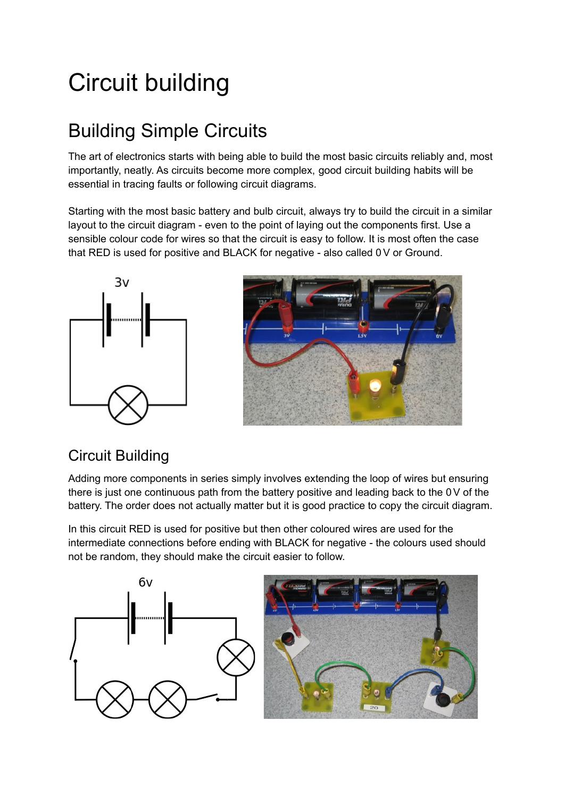# Circuit building

### Building Simple Circuits

The art of electronics starts with being able to build the most basic circuits reliably and, most importantly, neatly. As circuits become more complex, good circuit building habits will be essential in tracing faults or following circuit diagrams.

Starting with the most basic battery and bulb circuit, always try to build the circuit in a similar layout to the circuit diagram - even to the point of laying out the components first. Use a sensible colour code for wires so that the circuit is easy to follow. It is most often the case that RED is used for positive and BLACK for negative - also called 0V or Ground.





#### Circuit Building

Adding more components in series simply involves extending the loop of wires but ensuring there is just one continuous path from the battery positive and leading back to the 0V of the battery. The order does not actually matter but it is good practice to copy the circuit diagram.

In this circuit RED is used for positive but then other coloured wires are used for the intermediate connections before ending with BLACK for negative - the colours used should not be random, they should make the circuit easier to follow.

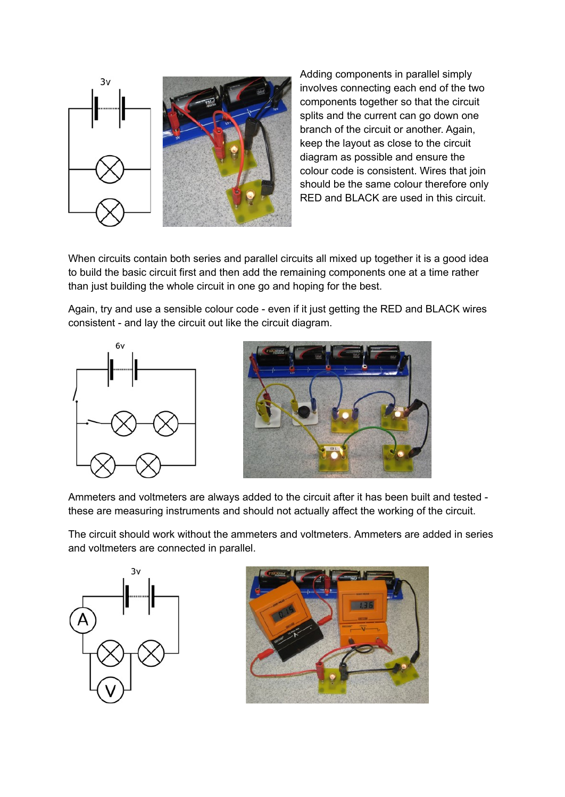

Adding components in parallel simply involves connecting each end of the two components together so that the circuit splits and the current can go down one branch of the circuit or another. Again, keep the layout as close to the circuit diagram as possible and ensure the colour code is consistent. Wires that join should be the same colour therefore only RED and BLACK are used in this circuit.

When circuits contain both series and parallel circuits all mixed up together it is a good idea to build the basic circuit first and then add the remaining components one at a time rather than just building the whole circuit in one go and hoping for the best.

Again, try and use a sensible colour code - even if it just getting the RED and BLACK wires consistent - and lay the circuit out like the circuit diagram.





Ammeters and voltmeters are always added to the circuit after it has been built and tested these are measuring instruments and should not actually affect the working of the circuit.

The circuit should work without the ammeters and voltmeters. Ammeters are added in series and voltmeters are connected in parallel.



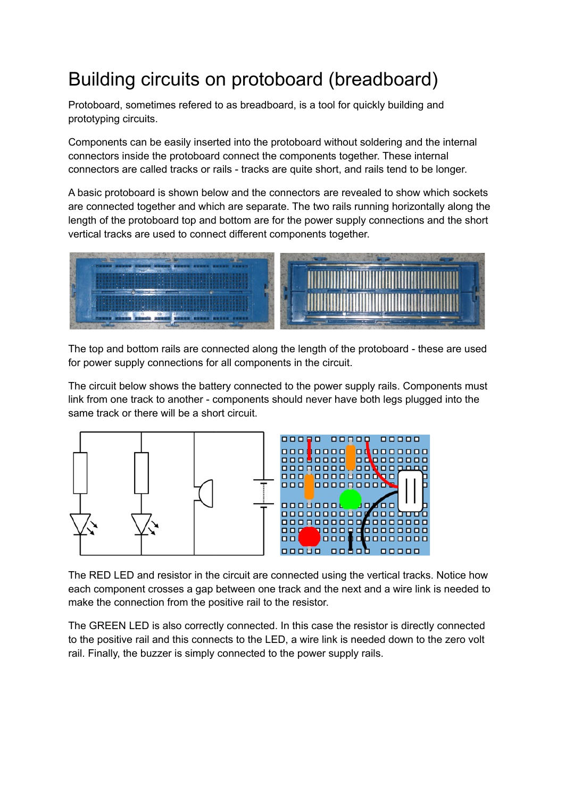## Building circuits on protoboard (breadboard)

Protoboard, sometimes refered to as breadboard, is a tool for quickly building and prototyping circuits.

Components can be easily inserted into the protoboard without soldering and the internal connectors inside the protoboard connect the components together. These internal connectors are called tracks or rails - tracks are quite short, and rails tend to be longer.

A basic protoboard is shown below and the connectors are revealed to show which sockets are connected together and which are separate. The two rails running horizontally along the length of the protoboard top and bottom are for the power supply connections and the short vertical tracks are used to connect different components together.



The top and bottom rails are connected along the length of the protoboard - these are used for power supply connections for all components in the circuit.

The circuit below shows the battery connected to the power supply rails. Components must link from one track to another - components should never have both legs plugged into the same track or there will be a short circuit.



The RED LED and resistor in the circuit are connected using the vertical tracks. Notice how each component crosses a gap between one track and the next and a wire link is needed to make the connection from the positive rail to the resistor.

The GREEN LED is also correctly connected. In this case the resistor is directly connected to the positive rail and this connects to the LED, a wire link is needed down to the zero volt rail. Finally, the buzzer is simply connected to the power supply rails.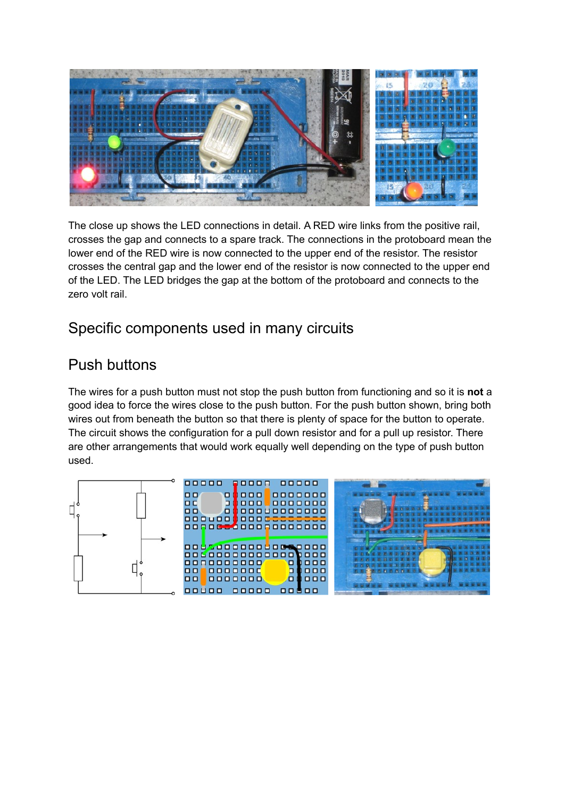

The close up shows the LED connections in detail. A RED wire links from the positive rail, crosses the gap and connects to a spare track. The connections in the protoboard mean the lower end of the RED wire is now connected to the upper end of the resistor. The resistor crosses the central gap and the lower end of the resistor is now connected to the upper end of the LED. The LED bridges the gap at the bottom of the protoboard and connects to the zero volt rail.

#### Specific components used in many circuits

#### Push buttons

The wires for a push button must not stop the push button from functioning and so it is **not** a good idea to force the wires close to the push button. For the push button shown, bring both wires out from beneath the button so that there is plenty of space for the button to operate. The circuit shows the configuration for a pull down resistor and for a pull up resistor. There are other arrangements that would work equally well depending on the type of push button used.

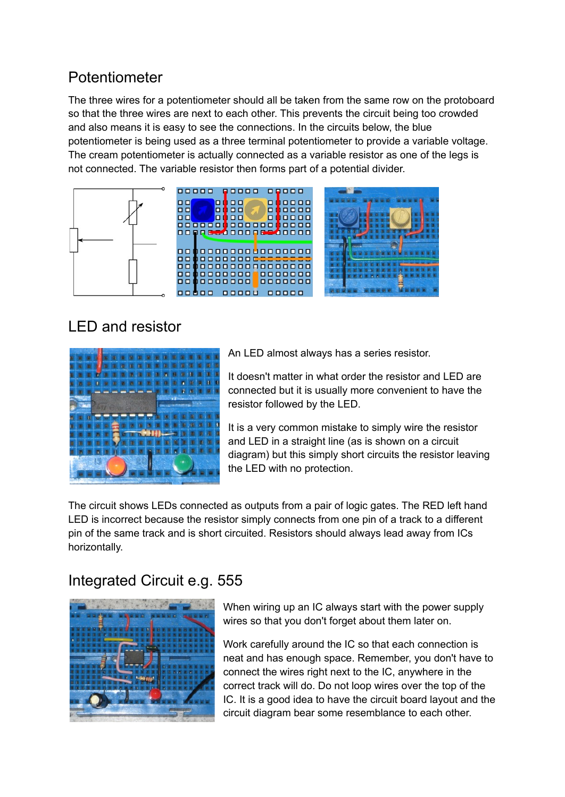#### Potentiometer

The three wires for a potentiometer should all be taken from the same row on the protoboard so that the three wires are next to each other. This prevents the circuit being too crowded and also means it is easy to see the connections. In the circuits below, the blue potentiometer is being used as a three terminal potentiometer to provide a variable voltage. The cream potentiometer is actually connected as a variable resistor as one of the legs is not connected. The variable resistor then forms part of a potential divider.



#### LED and resistor



An LED almost always has a series resistor.

It doesn't matter in what order the resistor and LED are connected but it is usually more convenient to have the resistor followed by the LED.

It is a very common mistake to simply wire the resistor and LED in a straight line (as is shown on a circuit diagram) but this simply short circuits the resistor leaving the LED with no protection.

The circuit shows LEDs connected as outputs from a pair of logic gates. The RED left hand LED is incorrect because the resistor simply connects from one pin of a track to a different pin of the same track and is short circuited. Resistors should always lead away from ICs horizontally.

#### Integrated Circuit e.g. 555



When wiring up an IC always start with the power supply wires so that you don't forget about them later on.

Work carefully around the IC so that each connection is neat and has enough space. Remember, you don't have to connect the wires right next to the IC, anywhere in the correct track will do. Do not loop wires over the top of the IC. It is a good idea to have the circuit board layout and the circuit diagram bear some resemblance to each other.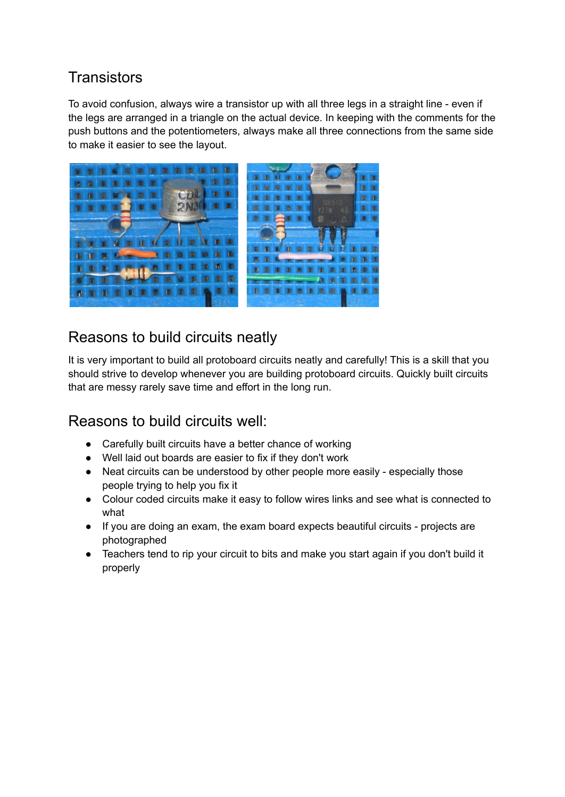#### **Transistors**

To avoid confusion, always wire a transistor up with all three legs in a straight line - even if the legs are arranged in a triangle on the actual device. In keeping with the comments for the push buttons and the potentiometers, always make all three connections from the same side to make it easier to see the layout.



#### Reasons to build circuits neatly

It is very important to build all protoboard circuits neatly and carefully! This is a skill that you should strive to develop whenever you are building protoboard circuits. Quickly built circuits that are messy rarely save time and effort in the long run.

#### Reasons to build circuits well:

- Carefully built circuits have a better chance of working
- Well laid out boards are easier to fix if they don't work
- Neat circuits can be understood by other people more easily especially those people trying to help you fix it
- Colour coded circuits make it easy to follow wires links and see what is connected to what
- If you are doing an exam, the exam board expects beautiful circuits projects are photographed
- Teachers tend to rip your circuit to bits and make you start again if you don't build it properly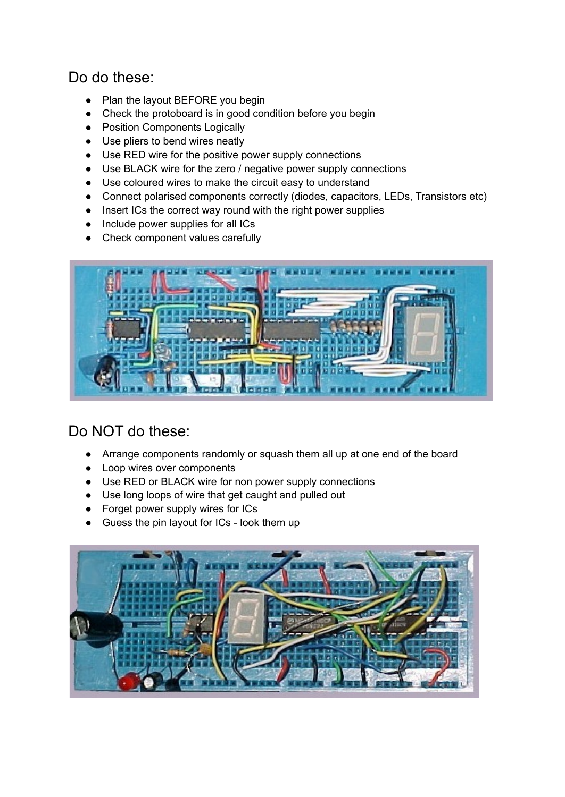#### Do do these:

- Plan the layout BEFORE you begin
- Check the protoboard is in good condition before you begin
- Position Components Logically
- Use pliers to bend wires neatly
- Use RED wire for the positive power supply connections
- Use BLACK wire for the zero / negative power supply connections
- Use coloured wires to make the circuit easy to understand
- Connect polarised components correctly (diodes, capacitors, LEDs, Transistors etc)
- Insert ICs the correct way round with the right power supplies
- Include power supplies for all ICs
- Check component values carefully



#### Do NOT do these:

- Arrange components randomly or squash them all up at one end of the board
- Loop wires over components
- Use RED or BLACK wire for non power supply connections
- Use long loops of wire that get caught and pulled out
- Forget power supply wires for ICs
- Guess the pin layout for ICs look them up